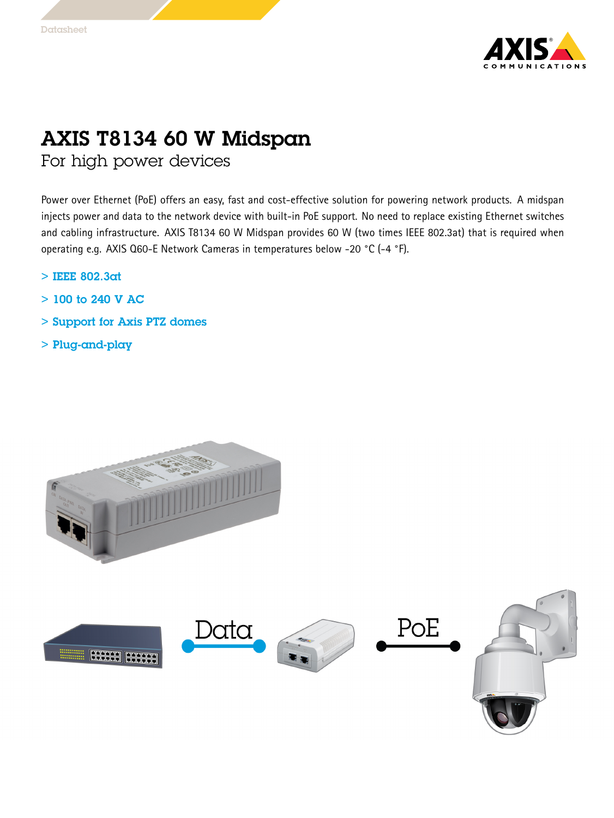

## AXIS T8134 60 W Midspan

For high power devices

Power over Ethernet (PoE) offers an easy, fast and cost-effective solution for powering network products. A midspan injects power and data to the network device with built-in PoE support. No need to replace existing Ethernet switches and cabling infrastructure. AXIS T8134 <sup>60</sup> W Midspan provides <sup>60</sup> W (two times IEEE 802.3at) that is required when operating e.g. AXIS Q60-E Network Cameras in temperatures below -20 °C (-4 °F).

- > IEEE 802.3at
- $>$  100 to 240 V AC
- > Support for Axis PTZ domes
- > Plug-and-play